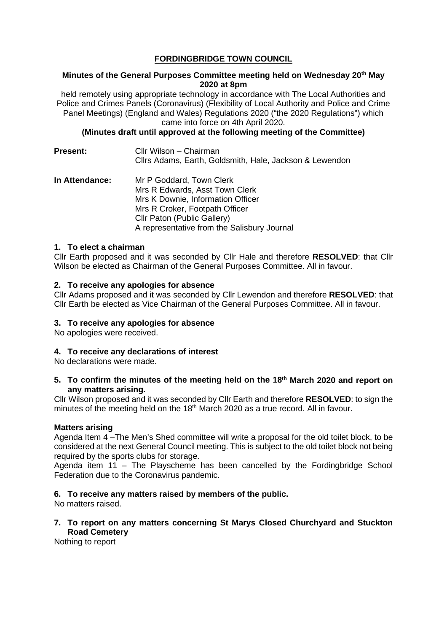# **FORDINGBRIDGE TOWN COUNCIL**

### **Minutes of the General Purposes Committee meeting held on Wednesday 20th May 2020 at 8pm**

held remotely using appropriate technology in accordance with The Local Authorities and Police and Crimes Panels (Coronavirus) (Flexibility of Local Authority and Police and Crime Panel Meetings) (England and Wales) Regulations 2020 ("the 2020 Regulations") which came into force on 4th April 2020.

**(Minutes draft until approved at the following meeting of the Committee)**

**Present:** Cllr Wilson – Chairman Cllrs Adams, Earth, Goldsmith, Hale, Jackson & Lewendon **In Attendance:** Mr P Goddard, Town Clerk Mrs R Edwards, Asst Town Clerk Mrs K Downie, Information Officer Mrs R Croker, Footpath Officer Cllr Paton (Public Gallery)

## **1. To elect a chairman**

Cllr Earth proposed and it was seconded by Cllr Hale and therefore **RESOLVED**: that Cllr Wilson be elected as Chairman of the General Purposes Committee. All in favour.

A representative from the Salisbury Journal

### **2. To receive any apologies for absence**

Cllr Adams proposed and it was seconded by Cllr Lewendon and therefore **RESOLVED**: that Cllr Earth be elected as Vice Chairman of the General Purposes Committee. All in favour.

#### **3. To receive any apologies for absence**

No apologies were received.

## **4. To receive any declarations of interest**

No declarations were made.

**5. To confirm the minutes of the meeting held on the 18th March 2020 and report on any matters arising.**

Cllr Wilson proposed and it was seconded by Cllr Earth and therefore **RESOLVED**: to sign the minutes of the meeting held on the 18<sup>th</sup> March 2020 as a true record. All in favour.

#### **Matters arising**

Agenda Item 4 –The Men's Shed committee will write a proposal for the old toilet block, to be considered at the next General Council meeting. This is subject to the old toilet block not being required by the sports clubs for storage.

Agenda item 11 – The Playscheme has been cancelled by the Fordingbridge School Federation due to the Coronavirus pandemic.

## **6. To receive any matters raised by members of the public.**

No matters raised.

#### **7. To report on any matters concerning St Marys Closed Churchyard and Stuckton Road Cemetery**

Nothing to report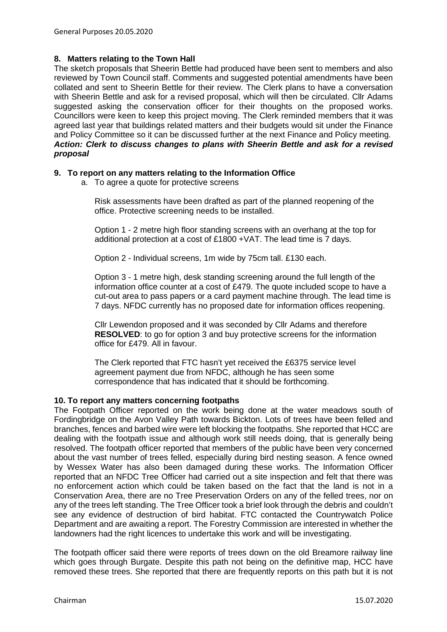### **8. Matters relating to the Town Hall**

The sketch proposals that Sheerin Bettle had produced have been sent to members and also reviewed by Town Council staff. Comments and suggested potential amendments have been collated and sent to Sheerin Bettle for their review. The Clerk plans to have a conversation with Sheerin Bettle and ask for a revised proposal, which will then be circulated. Cllr Adams suggested asking the conservation officer for their thoughts on the proposed works. Councillors were keen to keep this project moving. The Clerk reminded members that it was agreed last year that buildings related matters and their budgets would sit under the Finance and Policy Committee so it can be discussed further at the next Finance and Policy meeting. *Action: Clerk to discuss changes to plans with Sheerin Bettle and ask for a revised proposal*

### **9. To report on any matters relating to the Information Office**

a. To agree a quote for protective screens

Risk assessments have been drafted as part of the planned reopening of the office. Protective screening needs to be installed.

Option 1 - 2 metre high floor standing screens with an overhang at the top for additional protection at a cost of £1800 +VAT. The lead time is 7 days.

Option 2 - Individual screens, 1m wide by 75cm tall. £130 each.

Option 3 - 1 metre high, desk standing screening around the full length of the information office counter at a cost of £479. The quote included scope to have a cut-out area to pass papers or a card payment machine through. The lead time is 7 days. NFDC currently has no proposed date for information offices reopening.

Cllr Lewendon proposed and it was seconded by Cllr Adams and therefore **RESOLVED**: to go for option 3 and buy protective screens for the information office for £479. All in favour.

The Clerk reported that FTC hasn't yet received the £6375 service level agreement payment due from NFDC, although he has seen some correspondence that has indicated that it should be forthcoming.

#### **10. To report any matters concerning footpaths**

The Footpath Officer reported on the work being done at the water meadows south of Fordingbridge on the Avon Valley Path towards Bickton. Lots of trees have been felled and branches, fences and barbed wire were left blocking the footpaths. She reported that HCC are dealing with the footpath issue and although work still needs doing, that is generally being resolved. The footpath officer reported that members of the public have been very concerned about the vast number of trees felled, especially during bird nesting season. A fence owned by Wessex Water has also been damaged during these works. The Information Officer reported that an NFDC Tree Officer had carried out a site inspection and felt that there was no enforcement action which could be taken based on the fact that the land is not in a Conservation Area, there are no Tree Preservation Orders on any of the felled trees, nor on any of the trees left standing. The Tree Officer took a brief look through the debris and couldn't see any evidence of destruction of bird habitat. FTC contacted the Countrywatch Police Department and are awaiting a report. The Forestry Commission are interested in whether the landowners had the right licences to undertake this work and will be investigating.

The footpath officer said there were reports of trees down on the old Breamore railway line which goes through Burgate. Despite this path not being on the definitive map, HCC have removed these trees. She reported that there are frequently reports on this path but it is not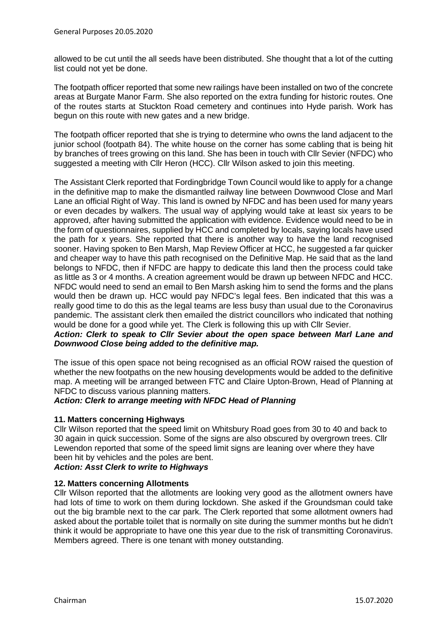allowed to be cut until the all seeds have been distributed. She thought that a lot of the cutting list could not yet be done.

The footpath officer reported that some new railings have been installed on two of the concrete areas at Burgate Manor Farm. She also reported on the extra funding for historic routes. One of the routes starts at Stuckton Road cemetery and continues into Hyde parish. Work has begun on this route with new gates and a new bridge.

The footpath officer reported that she is trying to determine who owns the land adjacent to the junior school (footpath 84). The white house on the corner has some cabling that is being hit by branches of trees growing on this land. She has been in touch with Cllr Sevier (NFDC) who suggested a meeting with Cllr Heron (HCC). Cllr Wilson asked to join this meeting.

The Assistant Clerk reported that Fordingbridge Town Council would like to apply for a change in the definitive map to make the dismantled railway line between Downwood Close and Marl Lane an official Right of Way. This land is owned by NFDC and has been used for many years or even decades by walkers. The usual way of applying would take at least six years to be approved, after having submitted the application with evidence. Evidence would need to be in the form of questionnaires, supplied by HCC and completed by locals, saying locals have used the path for x years. She reported that there is another way to have the land recognised sooner. Having spoken to Ben Marsh, Map Review Officer at HCC, he suggested a far quicker and cheaper way to have this path recognised on the Definitive Map. He said that as the land belongs to NFDC, then if NFDC are happy to dedicate this land then the process could take as little as 3 or 4 months. A creation agreement would be drawn up between NFDC and HCC. NFDC would need to send an email to Ben Marsh asking him to send the forms and the plans would then be drawn up. HCC would pay NFDC's legal fees. Ben indicated that this was a really good time to do this as the legal teams are less busy than usual due to the Coronavirus pandemic. The assistant clerk then emailed the district councillors who indicated that nothing would be done for a good while yet. The Clerk is following this up with Cllr Sevier.

## *Action: Clerk to speak to Cllr Sevier about the open space between Marl Lane and Downwood Close being added to the definitive map.*

The issue of this open space not being recognised as an official ROW raised the question of whether the new footpaths on the new housing developments would be added to the definitive map. A meeting will be arranged between FTC and Claire Upton-Brown, Head of Planning at NFDC to discuss various planning matters.

## *Action: Clerk to arrange meeting with NFDC Head of Planning*

## **11. Matters concerning Highways**

Cllr Wilson reported that the speed limit on Whitsbury Road goes from 30 to 40 and back to 30 again in quick succession. Some of the signs are also obscured by overgrown trees. Cllr Lewendon reported that some of the speed limit signs are leaning over where they have been hit by vehicles and the poles are bent.

## *Action: Asst Clerk to write to Highways*

## **12. Matters concerning Allotments**

Cllr Wilson reported that the allotments are looking very good as the allotment owners have had lots of time to work on them during lockdown. She asked if the Groundsman could take out the big bramble next to the car park. The Clerk reported that some allotment owners had asked about the portable toilet that is normally on site during the summer months but he didn't think it would be appropriate to have one this year due to the risk of transmitting Coronavirus. Members agreed. There is one tenant with money outstanding.